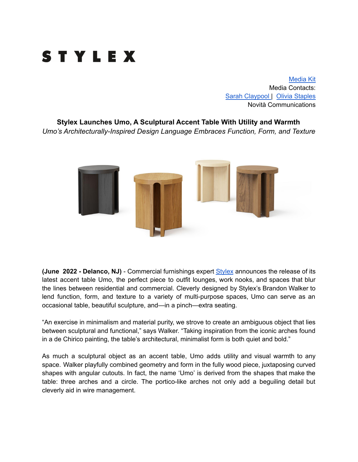

[Media](https://www.dropbox.com/sh/2no151ohg106ywp/AADWM8lPlh_ZSMoI16Cs6ZOFa?dl=0) Kit Media Contacts: Sarah [Claypool](mailto:sarah@novitapr.com) | Olivia [Staples](mailto:olivia@novitapr.com) Novità Communications

**Stylex Launches Umo, A Sculptural Accent Table With Utility and Warmth** *Umo's Architecturally-Inspired Design Language Embraces Function, Form, and Texture*



**(June 2022 - Delanco, NJ)** - Commercial furnishings expert [Stylex](https://www.stylexseating.com/) announces the release of its latest accent table Umo, the perfect piece to outfit lounges, work nooks, and spaces that blur the lines between residential and commercial. Cleverly designed by Stylex's Brandon Walker to lend function, form, and texture to a variety of multi-purpose spaces, Umo can serve as an occasional table, beautiful sculpture, and—in a pinch—extra seating.

"An exercise in minimalism and material purity, we strove to create an ambiguous object that lies between sculptural and functional," says Walker. "Taking inspiration from the iconic arches found in a de Chirico painting, the table's architectural, minimalist form is both quiet and bold."

As much a sculptural object as an accent table, Umo adds utility and visual warmth to any space. Walker playfully combined geometry and form in the fully wood piece, juxtaposing curved shapes with angular cutouts. In fact, the name 'Umo' is derived from the shapes that make the table: three arches and a circle. The portico-like arches not only add a beguiling detail but cleverly aid in wire management.